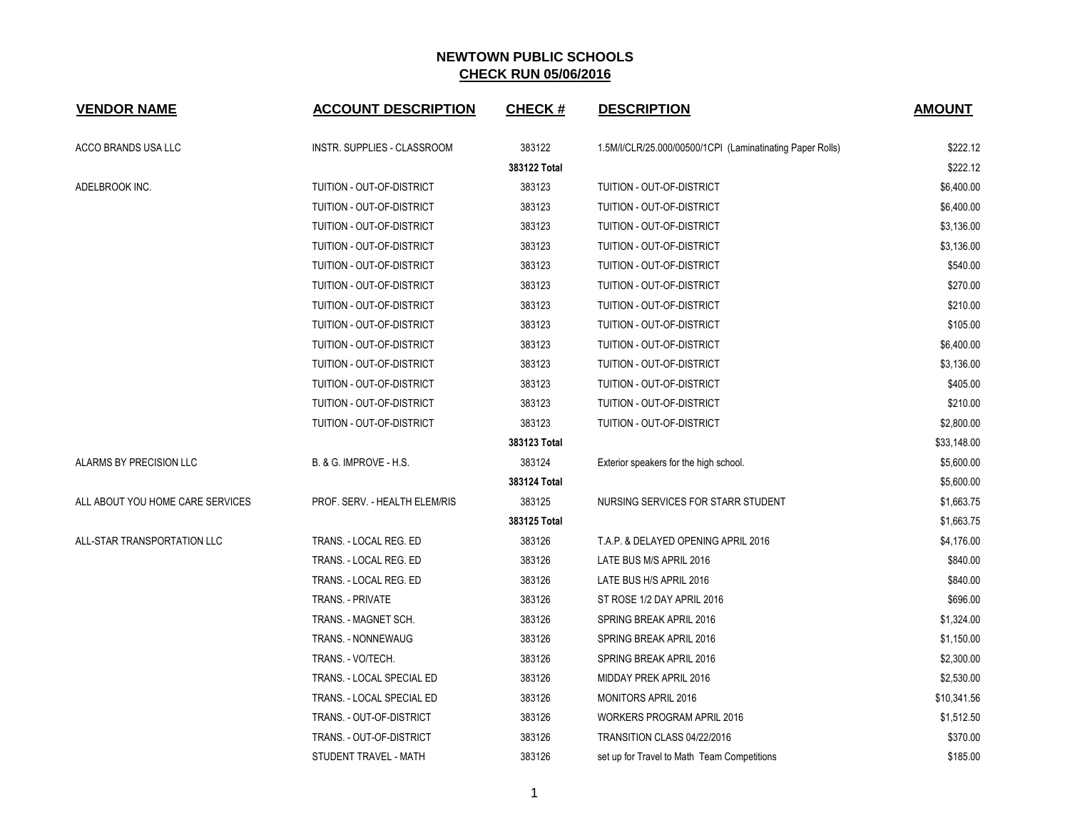| <b>VENDOR NAME</b>               | <b>ACCOUNT DESCRIPTION</b>         | <b>CHECK#</b> | <b>DESCRIPTION</b>                                        | <b>AMOUNT</b> |
|----------------------------------|------------------------------------|---------------|-----------------------------------------------------------|---------------|
| ACCO BRANDS USA LLC              | <b>INSTR. SUPPLIES - CLASSROOM</b> | 383122        | 1.5M/I/CLR/25.000/00500/1CPI (Laminatinating Paper Rolls) | \$222.12      |
|                                  |                                    | 383122 Total  |                                                           | \$222.12      |
| ADELBROOK INC.                   | TUITION - OUT-OF-DISTRICT          | 383123        | TUITION - OUT-OF-DISTRICT                                 | \$6,400.00    |
|                                  | TUITION - OUT-OF-DISTRICT          | 383123        | TUITION - OUT-OF-DISTRICT                                 | \$6,400.00    |
|                                  | TUITION - OUT-OF-DISTRICT          | 383123        | TUITION - OUT-OF-DISTRICT                                 | \$3,136.00    |
|                                  | TUITION - OUT-OF-DISTRICT          | 383123        | TUITION - OUT-OF-DISTRICT                                 | \$3,136.00    |
|                                  | TUITION - OUT-OF-DISTRICT          | 383123        | TUITION - OUT-OF-DISTRICT                                 | \$540.00      |
|                                  | TUITION - OUT-OF-DISTRICT          | 383123        | TUITION - OUT-OF-DISTRICT                                 | \$270.00      |
|                                  | TUITION - OUT-OF-DISTRICT          | 383123        | TUITION - OUT-OF-DISTRICT                                 | \$210.00      |
|                                  | TUITION - OUT-OF-DISTRICT          | 383123        | TUITION - OUT-OF-DISTRICT                                 | \$105.00      |
|                                  | TUITION - OUT-OF-DISTRICT          | 383123        | TUITION - OUT-OF-DISTRICT                                 | \$6,400.00    |
|                                  | TUITION - OUT-OF-DISTRICT          | 383123        | TUITION - OUT-OF-DISTRICT                                 | \$3,136.00    |
|                                  | TUITION - OUT-OF-DISTRICT          | 383123        | TUITION - OUT-OF-DISTRICT                                 | \$405.00      |
|                                  | TUITION - OUT-OF-DISTRICT          | 383123        | TUITION - OUT-OF-DISTRICT                                 | \$210.00      |
|                                  | TUITION - OUT-OF-DISTRICT          | 383123        | TUITION - OUT-OF-DISTRICT                                 | \$2,800.00    |
|                                  |                                    | 383123 Total  |                                                           | \$33,148.00   |
| ALARMS BY PRECISION LLC          | B. & G. IMPROVE - H.S.             | 383124        | Exterior speakers for the high school.                    | \$5,600.00    |
|                                  |                                    | 383124 Total  |                                                           | \$5,600.00    |
| ALL ABOUT YOU HOME CARE SERVICES | PROF. SERV. - HEALTH ELEM/RIS      | 383125        | NURSING SERVICES FOR STARR STUDENT                        | \$1,663.75    |
|                                  |                                    | 383125 Total  |                                                           | \$1,663.75    |
| ALL-STAR TRANSPORTATION LLC      | TRANS. - LOCAL REG. ED             | 383126        | T.A.P. & DELAYED OPENING APRIL 2016                       | \$4,176.00    |
|                                  | TRANS. - LOCAL REG. ED             | 383126        | LATE BUS M/S APRIL 2016                                   | \$840.00      |
|                                  | TRANS. - LOCAL REG. ED             | 383126        | LATE BUS H/S APRIL 2016                                   | \$840.00      |
|                                  | TRANS. - PRIVATE                   | 383126        | ST ROSE 1/2 DAY APRIL 2016                                | \$696.00      |
|                                  | TRANS. - MAGNET SCH.               | 383126        | SPRING BREAK APRIL 2016                                   | \$1,324.00    |
|                                  | TRANS. - NONNEWAUG                 | 383126        | SPRING BREAK APRIL 2016                                   | \$1,150.00    |
|                                  | TRANS. - VO/TECH.                  | 383126        | SPRING BREAK APRIL 2016                                   | \$2,300.00    |
|                                  | TRANS. - LOCAL SPECIAL ED          | 383126        | MIDDAY PREK APRIL 2016                                    | \$2,530.00    |
|                                  | TRANS. - LOCAL SPECIAL ED          | 383126        | MONITORS APRIL 2016                                       | \$10,341.56   |
|                                  | TRANS. - OUT-OF-DISTRICT           | 383126        | WORKERS PROGRAM APRIL 2016                                | \$1,512.50    |
|                                  | TRANS. - OUT-OF-DISTRICT           | 383126        | TRANSITION CLASS 04/22/2016                               | \$370.00      |
|                                  | STUDENT TRAVEL - MATH              | 383126        | set up for Travel to Math Team Competitions               | \$185.00      |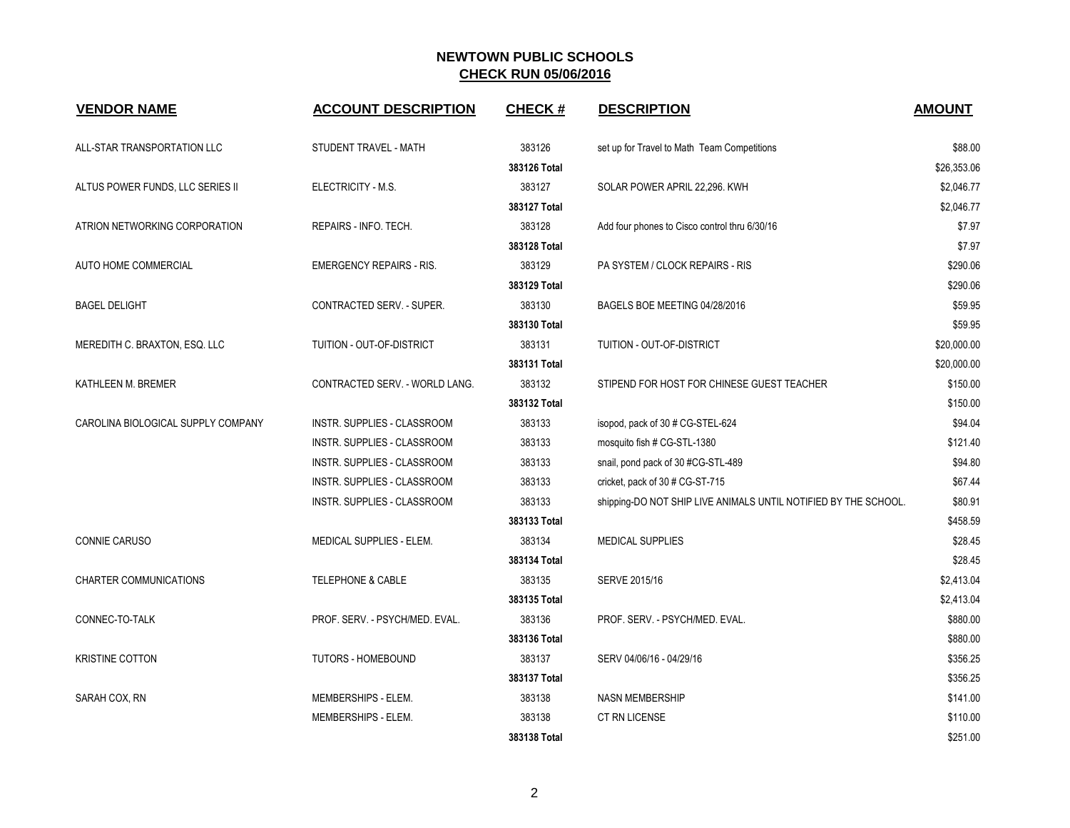| <b>VENDOR NAME</b>                 | <b>ACCOUNT DESCRIPTION</b>         | <b>CHECK#</b> | <b>DESCRIPTION</b>                                              | <b>AMOUNT</b> |
|------------------------------------|------------------------------------|---------------|-----------------------------------------------------------------|---------------|
| ALL-STAR TRANSPORTATION LLC        | STUDENT TRAVEL - MATH              | 383126        | set up for Travel to Math Team Competitions                     | \$88.00       |
|                                    |                                    | 383126 Total  |                                                                 | \$26,353.06   |
| ALTUS POWER FUNDS, LLC SERIES II   | ELECTRICITY - M.S.                 | 383127        | SOLAR POWER APRIL 22,296. KWH                                   | \$2,046.77    |
|                                    |                                    | 383127 Total  |                                                                 | \$2.046.77    |
| ATRION NETWORKING CORPORATION      | REPAIRS - INFO. TECH.              | 383128        | Add four phones to Cisco control thru 6/30/16                   | \$7.97        |
|                                    |                                    | 383128 Total  |                                                                 | \$7.97        |
| AUTO HOME COMMERCIAL               | <b>EMERGENCY REPAIRS - RIS.</b>    | 383129        | PA SYSTEM / CLOCK REPAIRS - RIS                                 | \$290.06      |
|                                    |                                    | 383129 Total  |                                                                 | \$290.06      |
| <b>BAGEL DELIGHT</b>               | <b>CONTRACTED SERV. - SUPER.</b>   | 383130        | BAGELS BOE MEETING 04/28/2016                                   | \$59.95       |
|                                    |                                    | 383130 Total  |                                                                 | \$59.95       |
| MEREDITH C. BRAXTON, ESQ. LLC      | TUITION - OUT-OF-DISTRICT          | 383131        | TUITION - OUT-OF-DISTRICT                                       | \$20,000.00   |
|                                    |                                    | 383131 Total  |                                                                 | \$20,000.00   |
| KATHLEEN M. BREMER                 | CONTRACTED SERV. - WORLD LANG.     | 383132        | STIPEND FOR HOST FOR CHINESE GUEST TEACHER                      | \$150.00      |
|                                    |                                    | 383132 Total  |                                                                 | \$150.00      |
| CAROLINA BIOLOGICAL SUPPLY COMPANY | INSTR. SUPPLIES - CLASSROOM        | 383133        | isopod, pack of 30 # CG-STEL-624                                | \$94.04       |
|                                    | INSTR. SUPPLIES - CLASSROOM        | 383133        | mosquito fish # CG-STL-1380                                     | \$121.40      |
|                                    | INSTR. SUPPLIES - CLASSROOM        | 383133        | snail, pond pack of 30 #CG-STL-489                              | \$94.80       |
|                                    | <b>INSTR. SUPPLIES - CLASSROOM</b> | 383133        | cricket, pack of 30 # CG-ST-715                                 | \$67.44       |
|                                    | INSTR. SUPPLIES - CLASSROOM        | 383133        | shipping-DO NOT SHIP LIVE ANIMALS UNTIL NOTIFIED BY THE SCHOOL. | \$80.91       |
|                                    |                                    | 383133 Total  |                                                                 | \$458.59      |
| CONNIE CARUSO                      | MEDICAL SUPPLIES - ELEM.           | 383134        | <b>MEDICAL SUPPLIES</b>                                         | \$28.45       |
|                                    |                                    | 383134 Total  |                                                                 | \$28.45       |
| CHARTER COMMUNICATIONS             | <b>TELEPHONE &amp; CABLE</b>       | 383135        | SERVE 2015/16                                                   | \$2,413.04    |
|                                    |                                    | 383135 Total  |                                                                 | \$2,413.04    |
| CONNEC-TO-TALK                     | PROF. SERV. - PSYCH/MED. EVAL.     | 383136        | PROF. SERV. - PSYCH/MED. EVAL.                                  | \$880.00      |
|                                    |                                    | 383136 Total  |                                                                 | \$880.00      |
| <b>KRISTINE COTTON</b>             | <b>TUTORS - HOMEBOUND</b>          | 383137        | SERV 04/06/16 - 04/29/16                                        | \$356.25      |
|                                    |                                    | 383137 Total  |                                                                 | \$356.25      |
| SARAH COX, RN                      | MEMBERSHIPS - ELEM.                | 383138        | <b>NASN MEMBERSHIP</b>                                          | \$141.00      |
|                                    | MEMBERSHIPS - ELEM.                | 383138        | CT RN LICENSE                                                   | \$110.00      |
|                                    |                                    | 383138 Total  |                                                                 | \$251.00      |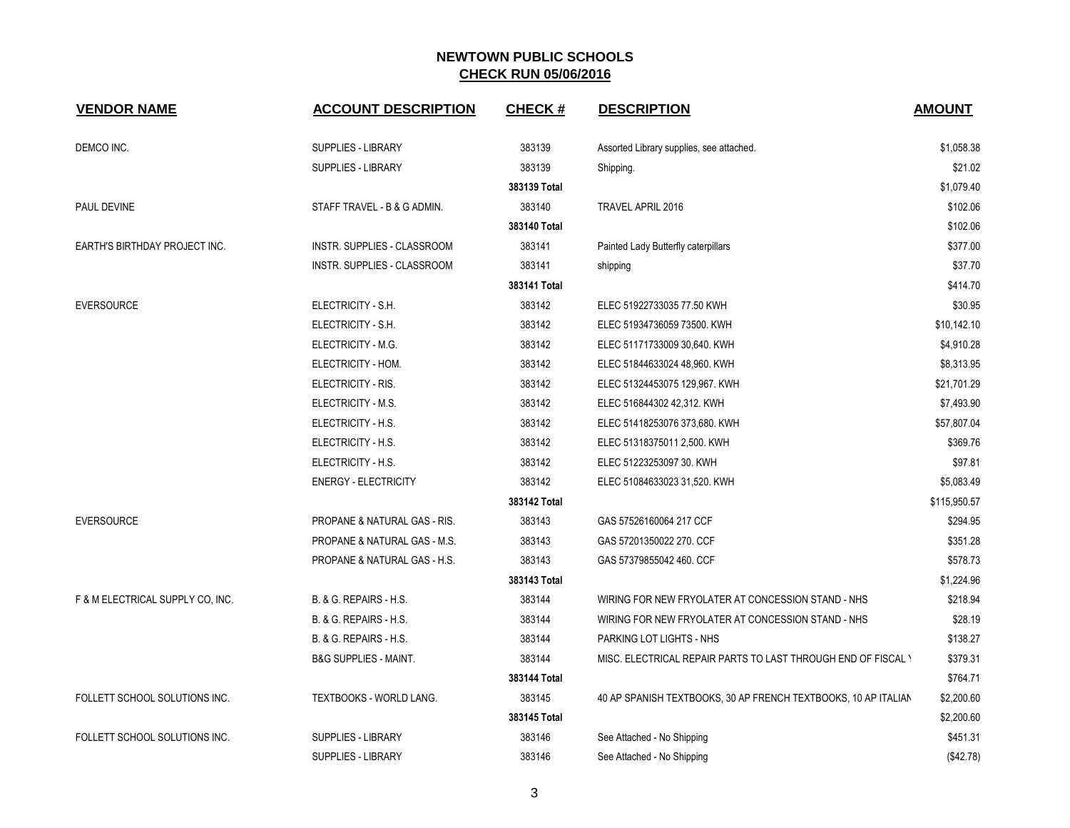| <b>VENDOR NAME</b>                   | <b>ACCOUNT DESCRIPTION</b>         | <b>CHECK#</b> | <b>DESCRIPTION</b>                                             | <b>AMOUNT</b> |
|--------------------------------------|------------------------------------|---------------|----------------------------------------------------------------|---------------|
| DEMCO INC.                           | <b>SUPPLIES - LIBRARY</b>          | 383139        | Assorted Library supplies, see attached.                       | \$1,058.38    |
|                                      | SUPPLIES - LIBRARY                 | 383139        | Shipping.                                                      | \$21.02       |
|                                      |                                    | 383139 Total  |                                                                | \$1,079.40    |
| PAUL DEVINE                          | STAFF TRAVEL - B & G ADMIN.        | 383140        | TRAVEL APRIL 2016                                              | \$102.06      |
|                                      |                                    | 383140 Total  |                                                                | \$102.06      |
| <b>EARTH'S BIRTHDAY PROJECT INC.</b> | <b>INSTR. SUPPLIES - CLASSROOM</b> | 383141        | Painted Lady Butterfly caterpillars                            | \$377.00      |
|                                      | INSTR. SUPPLIES - CLASSROOM        | 383141        | shipping                                                       | \$37.70       |
|                                      |                                    | 383141 Total  |                                                                | \$414.70      |
| <b>EVERSOURCE</b>                    | ELECTRICITY - S.H.                 | 383142        | ELEC 51922733035 77.50 KWH                                     | \$30.95       |
|                                      | ELECTRICITY - S.H.                 | 383142        | ELEC 51934736059 73500. KWH                                    | \$10,142.10   |
|                                      | ELECTRICITY - M.G.                 | 383142        | ELEC 51171733009 30,640. KWH                                   | \$4,910.28    |
|                                      | ELECTRICITY - HOM.                 | 383142        | ELEC 51844633024 48,960. KWH                                   | \$8,313.95    |
|                                      | ELECTRICITY - RIS.                 | 383142        | ELEC 51324453075 129,967. KWH                                  | \$21,701.29   |
|                                      | ELECTRICITY - M.S.                 | 383142        | ELEC 516844302 42,312. KWH                                     | \$7,493.90    |
|                                      | ELECTRICITY - H.S.                 | 383142        | ELEC 51418253076 373,680. KWH                                  | \$57,807.04   |
|                                      | ELECTRICITY - H.S.                 | 383142        | ELEC 51318375011 2,500. KWH                                    | \$369.76      |
|                                      | ELECTRICITY - H.S.                 | 383142        | ELEC 51223253097 30. KWH                                       | \$97.81       |
|                                      | <b>ENERGY - ELECTRICITY</b>        | 383142        | ELEC 51084633023 31,520. KWH                                   | \$5,083.49    |
|                                      |                                    | 383142 Total  |                                                                | \$115,950.57  |
| <b>EVERSOURCE</b>                    | PROPANE & NATURAL GAS - RIS.       | 383143        | GAS 57526160064 217 CCF                                        | \$294.95      |
|                                      | PROPANE & NATURAL GAS - M.S.       | 383143        | GAS 57201350022 270, CCF                                       | \$351.28      |
|                                      | PROPANE & NATURAL GAS - H.S.       | 383143        | GAS 57379855042 460. CCF                                       | \$578.73      |
|                                      |                                    | 383143 Total  |                                                                | \$1,224.96    |
| F & M ELECTRICAL SUPPLY CO, INC.     | B. & G. REPAIRS - H.S.             | 383144        | WIRING FOR NEW FRYOLATER AT CONCESSION STAND - NHS             | \$218.94      |
|                                      | B. & G. REPAIRS - H.S.             | 383144        | WIRING FOR NEW FRYOLATER AT CONCESSION STAND - NHS             | \$28.19       |
|                                      | B. & G. REPAIRS - H.S.             | 383144        | PARKING LOT LIGHTS - NHS                                       | \$138.27      |
|                                      | <b>B&amp;G SUPPLIES - MAINT.</b>   | 383144        | MISC. ELECTRICAL REPAIR PARTS TO LAST THROUGH END OF FISCAL Y  | \$379.31      |
|                                      |                                    | 383144 Total  |                                                                | \$764.71      |
| FOLLETT SCHOOL SOLUTIONS INC.        | TEXTBOOKS - WORLD LANG.            | 383145        | 40 AP SPANISH TEXTBOOKS, 30 AP FRENCH TEXTBOOKS, 10 AP ITALIAN | \$2,200.60    |
|                                      |                                    | 383145 Total  |                                                                | \$2,200.60    |
| FOLLETT SCHOOL SOLUTIONS INC.        | <b>SUPPLIES - LIBRARY</b>          | 383146        | See Attached - No Shipping                                     | \$451.31      |
|                                      | <b>SUPPLIES - LIBRARY</b>          | 383146        | See Attached - No Shipping                                     | (\$42.78)     |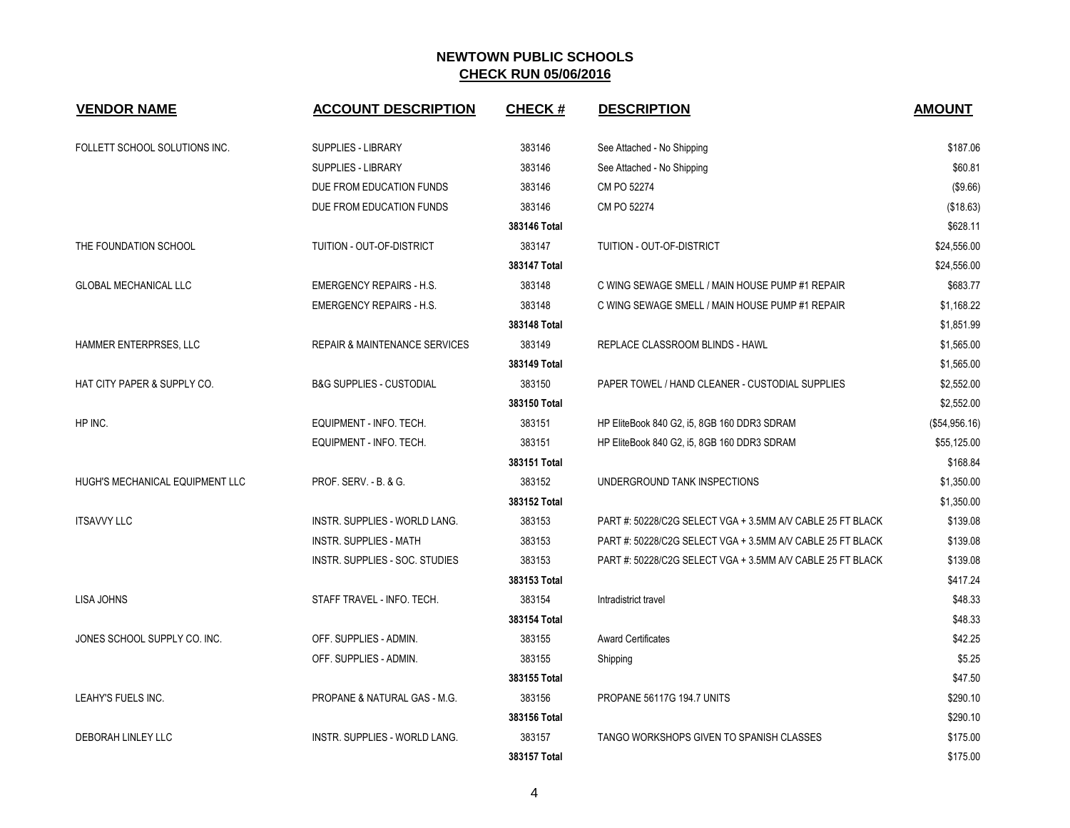| <b>VENDOR NAME</b>              | <b>ACCOUNT DESCRIPTION</b>               | <b>CHECK#</b> | <b>DESCRIPTION</b>                                        | <b>AMOUNT</b> |
|---------------------------------|------------------------------------------|---------------|-----------------------------------------------------------|---------------|
| FOLLETT SCHOOL SOLUTIONS INC.   | <b>SUPPLIES - LIBRARY</b>                | 383146        | See Attached - No Shipping                                | \$187.06      |
|                                 | <b>SUPPLIES - LIBRARY</b>                | 383146        | See Attached - No Shipping                                | \$60.81       |
|                                 | DUE FROM EDUCATION FUNDS                 | 383146        | CM PO 52274                                               | (\$9.66)      |
|                                 | DUE FROM EDUCATION FUNDS                 | 383146        | CM PO 52274                                               | (\$18.63)     |
|                                 |                                          | 383146 Total  |                                                           | \$628.11      |
| THE FOUNDATION SCHOOL           | TUITION - OUT-OF-DISTRICT                | 383147        | TUITION - OUT-OF-DISTRICT                                 | \$24,556.00   |
|                                 |                                          | 383147 Total  |                                                           | \$24,556.00   |
| <b>GLOBAL MECHANICAL LLC</b>    | <b>EMERGENCY REPAIRS - H.S.</b>          | 383148        | C WING SEWAGE SMELL / MAIN HOUSE PUMP #1 REPAIR           | \$683.77      |
|                                 | <b>EMERGENCY REPAIRS - H.S.</b>          | 383148        | C WING SEWAGE SMELL / MAIN HOUSE PUMP #1 REPAIR           | \$1,168.22    |
|                                 |                                          | 383148 Total  |                                                           | \$1,851.99    |
| HAMMER ENTERPRSES, LLC          | <b>REPAIR &amp; MAINTENANCE SERVICES</b> | 383149        | REPLACE CLASSROOM BLINDS - HAWL                           | \$1,565.00    |
|                                 |                                          | 383149 Total  |                                                           | \$1,565.00    |
| HAT CITY PAPER & SUPPLY CO.     | <b>B&amp;G SUPPLIES - CUSTODIAL</b>      | 383150        | PAPER TOWEL / HAND CLEANER - CUSTODIAL SUPPLIES           | \$2,552.00    |
|                                 |                                          | 383150 Total  |                                                           | \$2,552.00    |
| HP INC.                         | EQUIPMENT - INFO. TECH.                  | 383151        | HP EliteBook 840 G2, i5, 8GB 160 DDR3 SDRAM               | (\$54,956.16) |
|                                 | EQUIPMENT - INFO. TECH.                  | 383151        | HP EliteBook 840 G2, i5, 8GB 160 DDR3 SDRAM               | \$55,125.00   |
|                                 |                                          | 383151 Total  |                                                           | \$168.84      |
| HUGH'S MECHANICAL EQUIPMENT LLC | PROF. SERV. - B. & G.                    | 383152        | UNDERGROUND TANK INSPECTIONS                              | \$1,350.00    |
|                                 |                                          | 383152 Total  |                                                           | \$1,350.00    |
| <b>ITSAVVY LLC</b>              | <b>INSTR. SUPPLIES - WORLD LANG.</b>     | 383153        | PART#: 50228/C2G SELECT VGA + 3.5MM A/V CABLE 25 FT BLACK | \$139.08      |
|                                 | <b>INSTR. SUPPLIES - MATH</b>            | 383153        | PART#: 50228/C2G SELECT VGA + 3.5MM A/V CABLE 25 FT BLACK | \$139.08      |
|                                 | INSTR. SUPPLIES - SOC. STUDIES           | 383153        | PART#: 50228/C2G SELECT VGA + 3.5MM A/V CABLE 25 FT BLACK | \$139.08      |
|                                 |                                          | 383153 Total  |                                                           | \$417.24      |
| <b>LISA JOHNS</b>               | STAFF TRAVEL - INFO. TECH.               | 383154        | Intradistrict travel                                      | \$48.33       |
|                                 |                                          | 383154 Total  |                                                           | \$48.33       |
| JONES SCHOOL SUPPLY CO. INC.    | OFF. SUPPLIES - ADMIN.                   | 383155        | <b>Award Certificates</b>                                 | \$42.25       |
|                                 | OFF. SUPPLIES - ADMIN.                   | 383155        | Shipping                                                  | \$5.25        |
|                                 |                                          | 383155 Total  |                                                           | \$47.50       |
| LEAHY'S FUELS INC.              | PROPANE & NATURAL GAS - M.G.             | 383156        | PROPANE 56117G 194.7 UNITS                                | \$290.10      |
|                                 |                                          | 383156 Total  |                                                           | \$290.10      |
| DEBORAH LINLEY LLC              | <b>INSTR. SUPPLIES - WORLD LANG.</b>     | 383157        | TANGO WORKSHOPS GIVEN TO SPANISH CLASSES                  | \$175.00      |
|                                 |                                          | 383157 Total  |                                                           | \$175.00      |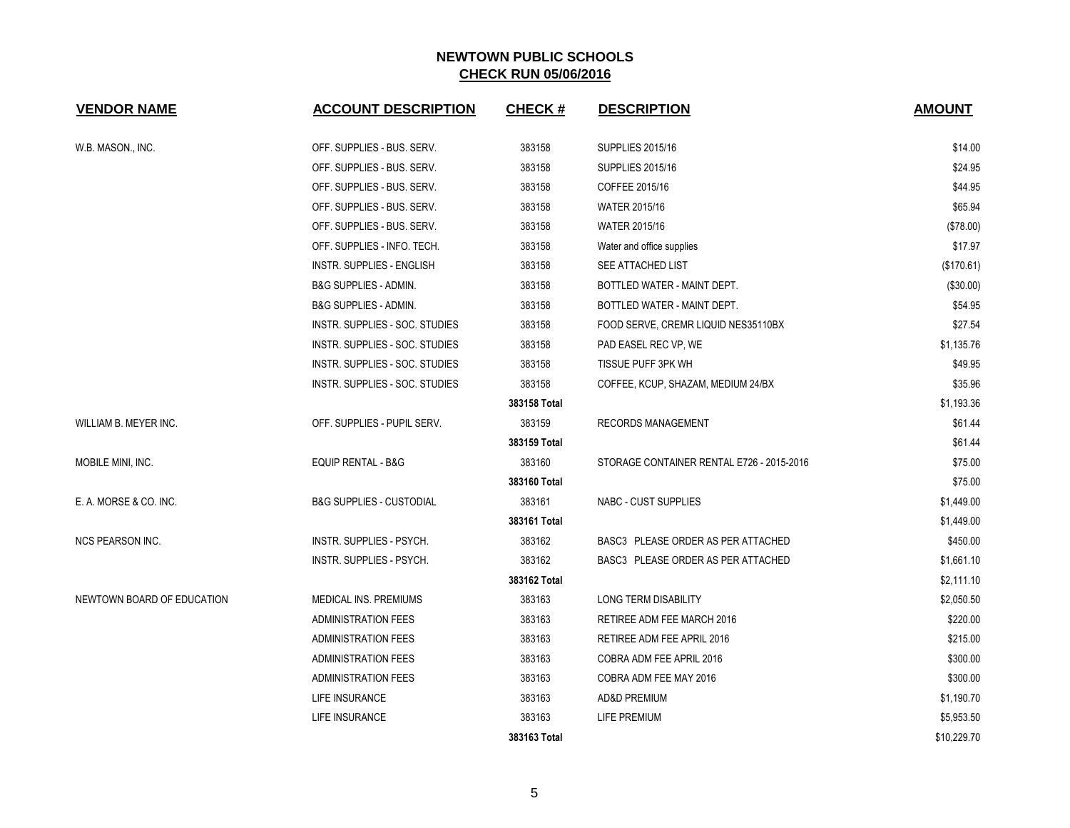| <b>VENDOR NAME</b>         | <b>ACCOUNT DESCRIPTION</b>          | <b>CHECK#</b> | <b>DESCRIPTION</b>                        | <b>AMOUNT</b> |
|----------------------------|-------------------------------------|---------------|-------------------------------------------|---------------|
| W.B. MASON., INC.          | OFF. SUPPLIES - BUS. SERV.          | 383158        | <b>SUPPLIES 2015/16</b>                   | \$14.00       |
|                            | OFF. SUPPLIES - BUS. SERV.          | 383158        | <b>SUPPLIES 2015/16</b>                   | \$24.95       |
|                            | OFF. SUPPLIES - BUS. SERV.          | 383158        | COFFEE 2015/16                            | \$44.95       |
|                            | OFF. SUPPLIES - BUS. SERV.          | 383158        | <b>WATER 2015/16</b>                      | \$65.94       |
|                            | OFF. SUPPLIES - BUS. SERV.          | 383158        | WATER 2015/16                             | (\$78.00)     |
|                            | OFF. SUPPLIES - INFO. TECH.         | 383158        | Water and office supplies                 | \$17.97       |
|                            | <b>INSTR. SUPPLIES - ENGLISH</b>    | 383158        | SEE ATTACHED LIST                         | (\$170.61)    |
|                            | <b>B&amp;G SUPPLIES - ADMIN.</b>    | 383158        | BOTTLED WATER - MAINT DEPT.               | (\$30.00)     |
|                            | <b>B&amp;G SUPPLIES - ADMIN.</b>    | 383158        | BOTTLED WATER - MAINT DEPT.               | \$54.95       |
|                            | INSTR. SUPPLIES - SOC. STUDIES      | 383158        | FOOD SERVE, CREMR LIQUID NES35110BX       | \$27.54       |
|                            | INSTR. SUPPLIES - SOC. STUDIES      | 383158        | PAD EASEL REC VP, WE                      | \$1,135.76    |
|                            | INSTR. SUPPLIES - SOC. STUDIES      | 383158        | TISSUE PUFF 3PK WH                        | \$49.95       |
|                            | INSTR. SUPPLIES - SOC. STUDIES      | 383158        | COFFEE, KCUP, SHAZAM, MEDIUM 24/BX        | \$35.96       |
|                            |                                     | 383158 Total  |                                           | \$1,193.36    |
| WILLIAM B. MEYER INC.      | OFF. SUPPLIES - PUPIL SERV.         | 383159        | <b>RECORDS MANAGEMENT</b>                 | \$61.44       |
|                            |                                     | 383159 Total  |                                           | \$61.44       |
| MOBILE MINI, INC.          | EQUIP RENTAL - B&G                  | 383160        | STORAGE CONTAINER RENTAL E726 - 2015-2016 | \$75.00       |
|                            |                                     | 383160 Total  |                                           | \$75.00       |
| E. A. MORSE & CO. INC.     | <b>B&amp;G SUPPLIES - CUSTODIAL</b> | 383161        | <b>NABC - CUST SUPPLIES</b>               | \$1,449.00    |
|                            |                                     | 383161 Total  |                                           | \$1,449.00    |
| <b>NCS PEARSON INC.</b>    | INSTR. SUPPLIES - PSYCH.            | 383162        | BASC3 PLEASE ORDER AS PER ATTACHED        | \$450.00      |
|                            | <b>INSTR. SUPPLIES - PSYCH.</b>     | 383162        | BASC3 PLEASE ORDER AS PER ATTACHED        | \$1,661.10    |
|                            |                                     | 383162 Total  |                                           | \$2,111.10    |
| NEWTOWN BOARD OF EDUCATION | MEDICAL INS. PREMIUMS               | 383163        | <b>LONG TERM DISABILITY</b>               | \$2,050.50    |
|                            | <b>ADMINISTRATION FEES</b>          | 383163        | RETIREE ADM FEE MARCH 2016                | \$220.00      |
|                            | <b>ADMINISTRATION FEES</b>          | 383163        | RETIREE ADM FEE APRIL 2016                | \$215.00      |
|                            | <b>ADMINISTRATION FEES</b>          | 383163        | COBRA ADM FEE APRIL 2016                  | \$300.00      |
|                            | <b>ADMINISTRATION FEES</b>          | 383163        | COBRA ADM FEE MAY 2016                    | \$300.00      |
|                            | LIFE INSURANCE                      | 383163        | <b>AD&amp;D PREMIUM</b>                   | \$1,190.70    |
|                            | LIFE INSURANCE                      | 383163        | <b>LIFE PREMIUM</b>                       | \$5,953.50    |
|                            |                                     | 383163 Total  |                                           | \$10,229.70   |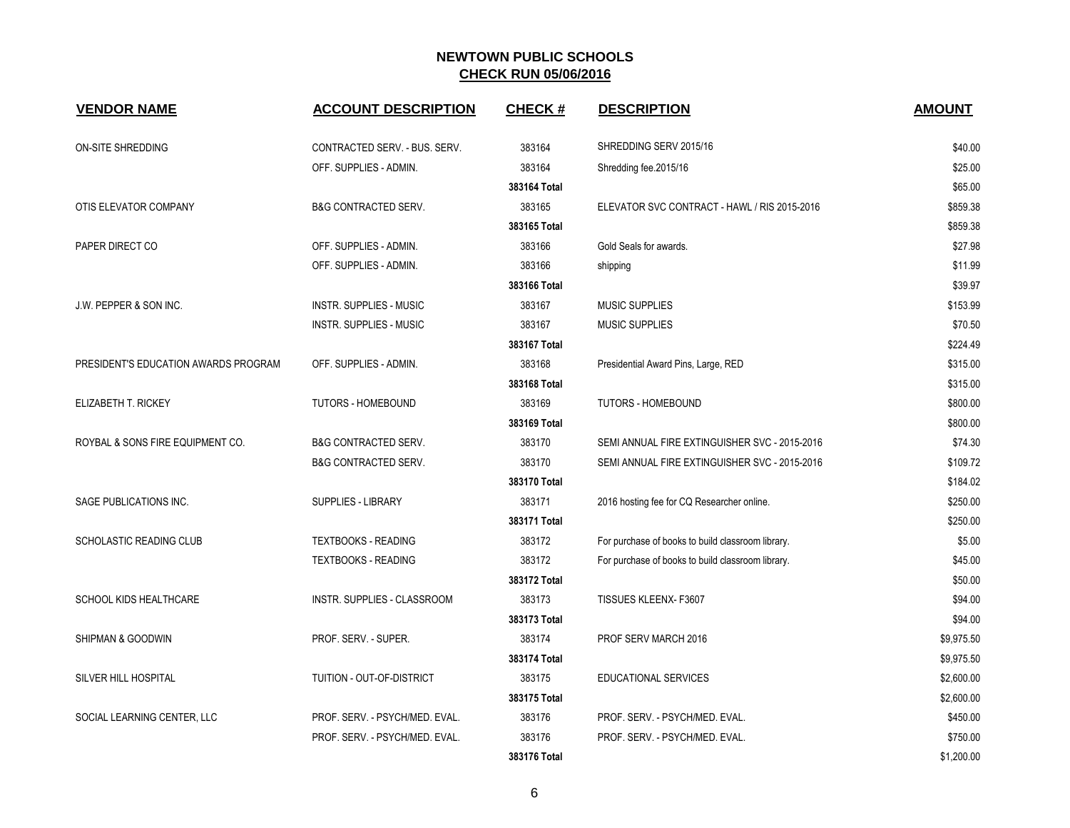| <b>VENDOR NAME</b>                   | <b>ACCOUNT DESCRIPTION</b>       | <b>CHECK#</b> | <b>DESCRIPTION</b>                                | <b>AMOUNT</b> |
|--------------------------------------|----------------------------------|---------------|---------------------------------------------------|---------------|
| <b>ON-SITE SHREDDING</b>             | CONTRACTED SERV. - BUS. SERV.    | 383164        | SHREDDING SERV 2015/16                            | \$40.00       |
|                                      | OFF. SUPPLIES - ADMIN.           | 383164        | Shredding fee.2015/16                             | \$25.00       |
|                                      |                                  | 383164 Total  |                                                   | \$65.00       |
| OTIS ELEVATOR COMPANY                | <b>B&amp;G CONTRACTED SERV.</b>  | 383165        | ELEVATOR SVC CONTRACT - HAWL / RIS 2015-2016      | \$859.38      |
|                                      |                                  | 383165 Total  |                                                   | \$859.38      |
| PAPER DIRECT CO                      | OFF. SUPPLIES - ADMIN.           | 383166        | Gold Seals for awards.                            | \$27.98       |
|                                      | OFF. SUPPLIES - ADMIN.           | 383166        | shipping                                          | \$11.99       |
|                                      |                                  | 383166 Total  |                                                   | \$39.97       |
| J.W. PEPPER & SON INC.               | <b>INSTR. SUPPLIES - MUSIC</b>   | 383167        | <b>MUSIC SUPPLIES</b>                             | \$153.99      |
|                                      | <b>INSTR. SUPPLIES - MUSIC</b>   | 383167        | MUSIC SUPPLIES                                    | \$70.50       |
|                                      |                                  | 383167 Total  |                                                   | \$224.49      |
| PRESIDENT'S EDUCATION AWARDS PROGRAM | OFF. SUPPLIES - ADMIN.           | 383168        | Presidential Award Pins, Large, RED               | \$315.00      |
|                                      |                                  | 383168 Total  |                                                   | \$315.00      |
| ELIZABETH T. RICKEY                  | TUTORS - HOMEBOUND               | 383169        | <b>TUTORS - HOMEBOUND</b>                         | \$800.00      |
|                                      |                                  | 383169 Total  |                                                   | \$800.00      |
| ROYBAL & SONS FIRE EQUIPMENT CO.     | <b>B&amp;G CONTRACTED SERV.</b>  | 383170        | SEMI ANNUAL FIRE EXTINGUISHER SVC - 2015-2016     | \$74.30       |
|                                      | <b>B&amp;G CONTRACTED SERV.</b>  | 383170        | SEMI ANNUAL FIRE EXTINGUISHER SVC - 2015-2016     | \$109.72      |
|                                      |                                  | 383170 Total  |                                                   | \$184.02      |
| SAGE PUBLICATIONS INC.               | <b>SUPPLIES - LIBRARY</b>        | 383171        | 2016 hosting fee for CQ Researcher online.        | \$250.00      |
|                                      |                                  | 383171 Total  |                                                   | \$250.00      |
| <b>SCHOLASTIC READING CLUB</b>       | <b>TEXTBOOKS - READING</b>       | 383172        | For purchase of books to build classroom library. | \$5.00        |
|                                      | <b>TEXTBOOKS - READING</b>       | 383172        | For purchase of books to build classroom library. | \$45.00       |
|                                      |                                  | 383172 Total  |                                                   | \$50.00       |
| SCHOOL KIDS HEALTHCARE               | INSTR. SUPPLIES - CLASSROOM      | 383173        | TISSUES KLEENX-F3607                              | \$94.00       |
|                                      |                                  | 383173 Total  |                                                   | \$94.00       |
| SHIPMAN & GOODWIN                    | PROF. SERV. - SUPER.             | 383174        | PROF SERV MARCH 2016                              | \$9,975.50    |
|                                      |                                  | 383174 Total  |                                                   | \$9,975.50    |
| <b>SILVER HILL HOSPITAL</b>          | <b>TUITION - OUT-OF-DISTRICT</b> | 383175        | EDUCATIONAL SERVICES                              | \$2,600.00    |
|                                      |                                  | 383175 Total  |                                                   | \$2,600.00    |
| SOCIAL LEARNING CENTER, LLC          | PROF. SERV. - PSYCH/MED. EVAL.   | 383176        | PROF. SERV. - PSYCH/MED. EVAL.                    | \$450.00      |
|                                      | PROF. SERV. - PSYCH/MED. EVAL.   | 383176        | PROF. SERV. - PSYCH/MED. EVAL.                    | \$750.00      |
|                                      |                                  | 383176 Total  |                                                   | \$1,200.00    |